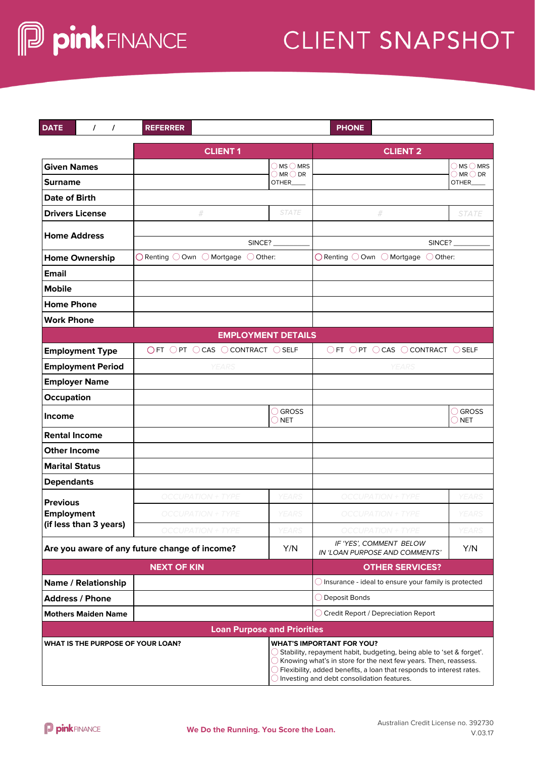## **CLIENT SNAPSHOT**

| <b>DATE</b><br>$\prime$<br>$\prime$                  | <b>REFERRER</b>                                                         |                                                                                | <b>PHONE</b>                                                                                                                                                                                                                                                                                                            |                                       |  |  |
|------------------------------------------------------|-------------------------------------------------------------------------|--------------------------------------------------------------------------------|-------------------------------------------------------------------------------------------------------------------------------------------------------------------------------------------------------------------------------------------------------------------------------------------------------------------------|---------------------------------------|--|--|
|                                                      | <b>CLIENT1</b>                                                          |                                                                                | <b>CLIENT 2</b>                                                                                                                                                                                                                                                                                                         |                                       |  |  |
| <b>Given Names</b>                                   |                                                                         | $\bigcirc$ MS $\bigcirc$ MRS                                                   |                                                                                                                                                                                                                                                                                                                         | $\bigcirc$ MS $\bigcirc$ MRS          |  |  |
| <b>Surname</b>                                       |                                                                         | $\bigcirc$ MR $\bigcirc$ DR<br>OTHER                                           |                                                                                                                                                                                                                                                                                                                         | $\bigcirc$ MR $\bigcirc$ DR<br>OTHER_ |  |  |
| <b>Date of Birth</b>                                 |                                                                         |                                                                                |                                                                                                                                                                                                                                                                                                                         |                                       |  |  |
| <b>Drivers License</b>                               | #                                                                       | <b>STATE</b>                                                                   | #                                                                                                                                                                                                                                                                                                                       | <b>STATE</b>                          |  |  |
| <b>Home Address</b>                                  |                                                                         |                                                                                |                                                                                                                                                                                                                                                                                                                         |                                       |  |  |
|                                                      |                                                                         | SINCE?                                                                         |                                                                                                                                                                                                                                                                                                                         | SINCE?                                |  |  |
| <b>Home Ownership</b>                                | $\bigcirc$ Renting $\bigcirc$ Own $\bigcirc$ Mortgage $\bigcirc$ Other: |                                                                                | $\bigcirc$ Renting $\bigcirc$ Own $\bigcirc$ Mortgage $\bigcirc$ Other:                                                                                                                                                                                                                                                 |                                       |  |  |
| <b>Email</b>                                         |                                                                         |                                                                                |                                                                                                                                                                                                                                                                                                                         |                                       |  |  |
| <b>Mobile</b>                                        |                                                                         |                                                                                |                                                                                                                                                                                                                                                                                                                         |                                       |  |  |
| <b>Home Phone</b>                                    |                                                                         |                                                                                |                                                                                                                                                                                                                                                                                                                         |                                       |  |  |
| <b>Work Phone</b>                                    |                                                                         |                                                                                |                                                                                                                                                                                                                                                                                                                         |                                       |  |  |
| <b>EMPLOYMENT DETAILS</b>                            |                                                                         |                                                                                |                                                                                                                                                                                                                                                                                                                         |                                       |  |  |
| <b>Employment Type</b>                               |                                                                         | $\bigcirc$ FT $\bigcirc$ PT $\bigcirc$ CAS $\bigcirc$ CONTRACT $\bigcirc$ SELF |                                                                                                                                                                                                                                                                                                                         | ○FT ○PT ○CAS ○CONTRACT ○SELF          |  |  |
| <b>Employment Period</b>                             | <b>YEARS</b>                                                            |                                                                                | <b>YEARS</b>                                                                                                                                                                                                                                                                                                            |                                       |  |  |
| <b>Employer Name</b>                                 |                                                                         |                                                                                |                                                                                                                                                                                                                                                                                                                         |                                       |  |  |
| Occupation                                           |                                                                         |                                                                                |                                                                                                                                                                                                                                                                                                                         |                                       |  |  |
| Income                                               |                                                                         | ◯ GROSS<br><b>NET</b>                                                          |                                                                                                                                                                                                                                                                                                                         | ◯ GROSS<br>$\bigcirc$ NET             |  |  |
| <b>Rental Income</b>                                 |                                                                         |                                                                                |                                                                                                                                                                                                                                                                                                                         |                                       |  |  |
| <b>Other Income</b>                                  |                                                                         |                                                                                |                                                                                                                                                                                                                                                                                                                         |                                       |  |  |
| <b>Marital Status</b>                                |                                                                         |                                                                                |                                                                                                                                                                                                                                                                                                                         |                                       |  |  |
| <b>Dependants</b>                                    |                                                                         |                                                                                |                                                                                                                                                                                                                                                                                                                         |                                       |  |  |
| <b>Previous</b>                                      | <b>OCCUPATION + TYPE</b>                                                | <b>YEARS</b>                                                                   | <b>OCCUPATION + TYPE</b>                                                                                                                                                                                                                                                                                                | <b>YEARS</b>                          |  |  |
| <b>Employment</b>                                    | <b>OCCUPATION + TYPE</b>                                                | YEARS                                                                          | <b>OCCUPATION + TYPE</b>                                                                                                                                                                                                                                                                                                | YEARS                                 |  |  |
| (if less than 3 years)                               | JPATION + TYPE                                                          |                                                                                | OCCUPATION + TYPE                                                                                                                                                                                                                                                                                                       |                                       |  |  |
| Are you aware of any future change of income?<br>Y/N |                                                                         |                                                                                | IF 'YES', COMMENT BELOW<br>IN 'LOAN PURPOSE AND COMMENTS'                                                                                                                                                                                                                                                               | Y/N                                   |  |  |
| <b>NEXT OF KIN</b>                                   |                                                                         |                                                                                | <b>OTHER SERVICES?</b>                                                                                                                                                                                                                                                                                                  |                                       |  |  |
| Name / Relationship                                  |                                                                         |                                                                                | $\bigcirc$ Insurance - ideal to ensure your family is protected                                                                                                                                                                                                                                                         |                                       |  |  |
| <b>Address / Phone</b>                               |                                                                         |                                                                                | $\bigcirc$ Deposit Bonds                                                                                                                                                                                                                                                                                                |                                       |  |  |
| <b>Mothers Maiden Name</b>                           |                                                                         |                                                                                | ◯ Credit Report / Depreciation Report                                                                                                                                                                                                                                                                                   |                                       |  |  |
| <b>Loan Purpose and Priorities</b>                   |                                                                         |                                                                                |                                                                                                                                                                                                                                                                                                                         |                                       |  |  |
| WHAT IS THE PURPOSE OF YOUR LOAN?                    |                                                                         |                                                                                | <b>WHAT'S IMPORTANT FOR YOU?</b><br>$\bigcirc$ Stability, repayment habit, budgeting, being able to 'set & forget'.<br>$\bigcirc$ Knowing what's in store for the next few years. Then, reassess.<br>Flexibility, added benefits, a loan that responds to interest rates.<br>Investing and debt consolidation features. |                                       |  |  |